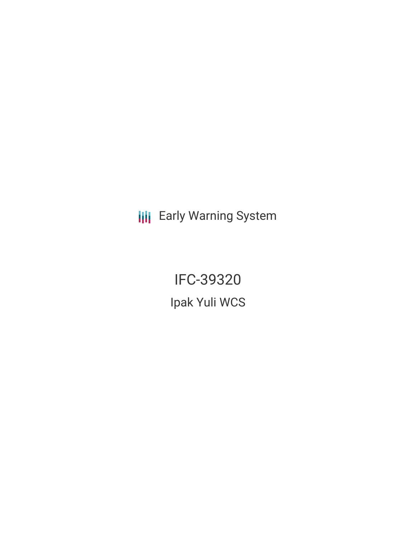**III** Early Warning System

**IFC-39320** Ipak Yuli WCS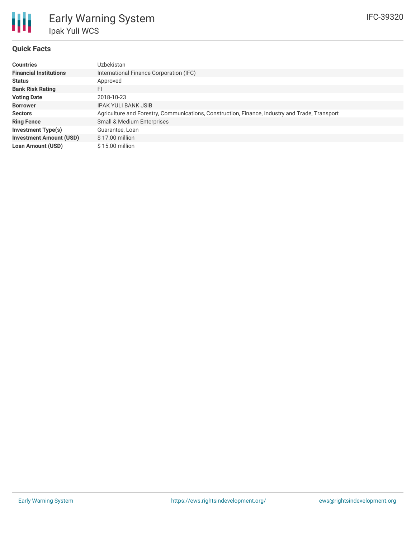

#### **Quick Facts**

| <b>Countries</b>               | Uzbekistan                                                                                     |
|--------------------------------|------------------------------------------------------------------------------------------------|
| <b>Financial Institutions</b>  | International Finance Corporation (IFC)                                                        |
| <b>Status</b>                  | Approved                                                                                       |
| <b>Bank Risk Rating</b>        | FI                                                                                             |
| <b>Voting Date</b>             | 2018-10-23                                                                                     |
| <b>Borrower</b>                | <b>IPAK YULI BANK JSIB</b>                                                                     |
| <b>Sectors</b>                 | Agriculture and Forestry, Communications, Construction, Finance, Industry and Trade, Transport |
| <b>Ring Fence</b>              | Small & Medium Enterprises                                                                     |
| <b>Investment Type(s)</b>      | Guarantee, Loan                                                                                |
| <b>Investment Amount (USD)</b> | $$17.00$ million                                                                               |
| <b>Loan Amount (USD)</b>       | $$15.00$ million                                                                               |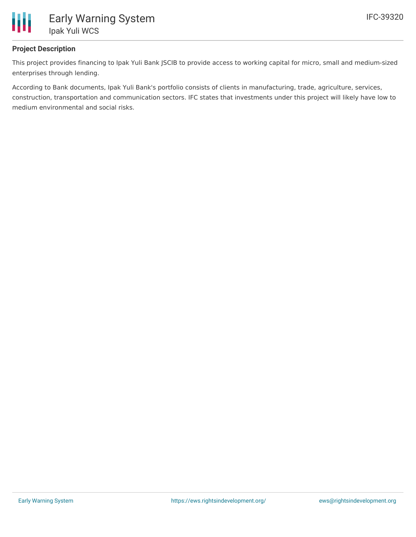

# **Project Description**

This project provides financing to Ipak Yuli Bank JSCIB to provide access to working capital for micro, small and medium-sized enterprises through lending.

According to Bank documents, Ipak Yuli Bank's portfolio consists of clients in manufacturing, trade, agriculture, services, construction, transportation and communication sectors. IFC states that investments under this project will likely have low to medium environmental and social risks.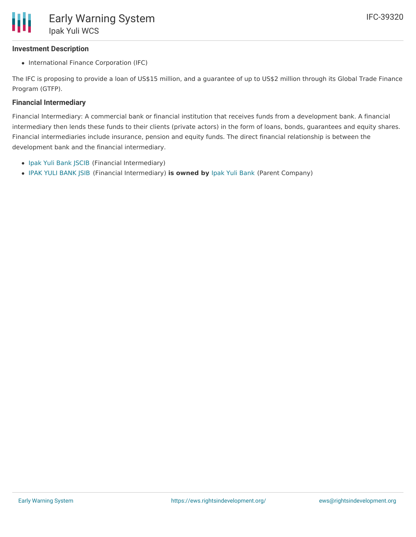### **Investment Description**

• International Finance Corporation (IFC)

The IFC is proposing to provide a loan of US\$15 million, and a guarantee of up to US\$2 million through its Global Trade Finance Program (GTFP).

#### **Financial Intermediary**

Financial Intermediary: A commercial bank or financial institution that receives funds from a development bank. A financial intermediary then lends these funds to their clients (private actors) in the form of loans, bonds, guarantees and equity shares. Financial intermediaries include insurance, pension and equity funds. The direct financial relationship is between the development bank and the financial intermediary.

- Ipak Yuli Bank [JSCIB](file:///actor/1157/) (Financial Intermediary)
- IPAK YULI [BANK](file:///actor/4053/) JSIB (Financial Intermediary) **is owned by** Ipak Yuli [Bank](file:///actor/4056/) (Parent Company)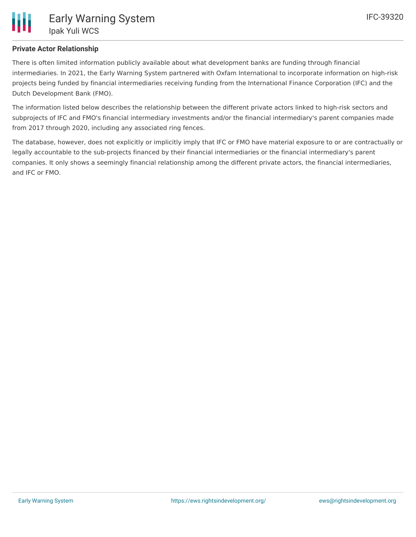### **Private Actor Relationship**

There is often limited information publicly available about what development banks are funding through financial intermediaries. In 2021, the Early Warning System partnered with Oxfam International to incorporate information on high-risk projects being funded by financial intermediaries receiving funding from the International Finance Corporation (IFC) and the Dutch Development Bank (FMO).

The information listed below describes the relationship between the different private actors linked to high-risk sectors and subprojects of IFC and FMO's financial intermediary investments and/or the financial intermediary's parent companies made from 2017 through 2020, including any associated ring fences.

The database, however, does not explicitly or implicitly imply that IFC or FMO have material exposure to or are contractually or legally accountable to the sub-projects financed by their financial intermediaries or the financial intermediary's parent companies. It only shows a seemingly financial relationship among the different private actors, the financial intermediaries, and IFC or FMO.